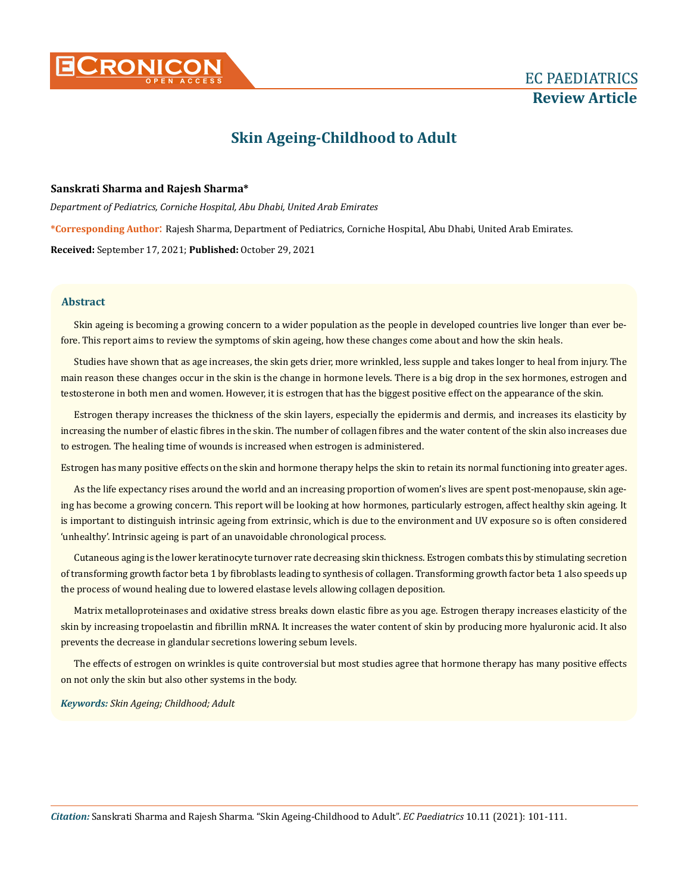

# **Skin Ageing-Childhood to Adult**

## **Sanskrati Sharma and Rajesh Sharma\***

*Department of Pediatrics, Corniche Hospital, Abu Dhabi, United Arab Emirates*

**\*Corresponding Author**: Rajesh Sharma, Department of Pediatrics, Corniche Hospital, Abu Dhabi, United Arab Emirates.

**Received:** September 17, 2021; **Published:** October 29, 2021

# **Abstract**

Skin ageing is becoming a growing concern to a wider population as the people in developed countries live longer than ever before. This report aims to review the symptoms of skin ageing, how these changes come about and how the skin heals.

Studies have shown that as age increases, the skin gets drier, more wrinkled, less supple and takes longer to heal from injury. The main reason these changes occur in the skin is the change in hormone levels. There is a big drop in the sex hormones, estrogen and testosterone in both men and women. However, it is estrogen that has the biggest positive effect on the appearance of the skin.

Estrogen therapy increases the thickness of the skin layers, especially the epidermis and dermis, and increases its elasticity by increasing the number of elastic fibres in the skin. The number of collagen fibres and the water content of the skin also increases due to estrogen. The healing time of wounds is increased when estrogen is administered.

Estrogen has many positive effects on the skin and hormone therapy helps the skin to retain its normal functioning into greater ages.

As the life expectancy rises around the world and an increasing proportion of women's lives are spent post-menopause, skin ageing has become a growing concern. This report will be looking at how hormones, particularly estrogen, affect healthy skin ageing. It is important to distinguish intrinsic ageing from extrinsic, which is due to the environment and UV exposure so is often considered 'unhealthy'. Intrinsic ageing is part of an unavoidable chronological process.

Cutaneous aging is the lower keratinocyte turnover rate decreasing skin thickness. Estrogen combats this by stimulating secretion of transforming growth factor beta 1 by fibroblasts leading to synthesis of collagen. Transforming growth factor beta 1 also speeds up the process of wound healing due to lowered elastase levels allowing collagen deposition.

Matrix metalloproteinases and oxidative stress breaks down elastic fibre as you age. Estrogen therapy increases elasticity of the skin by increasing tropoelastin and fibrillin mRNA. It increases the water content of skin by producing more hyaluronic acid. It also prevents the decrease in glandular secretions lowering sebum levels.

The effects of estrogen on wrinkles is quite controversial but most studies agree that hormone therapy has many positive effects on not only the skin but also other systems in the body.

*Keywords: Skin Ageing; Childhood; Adult*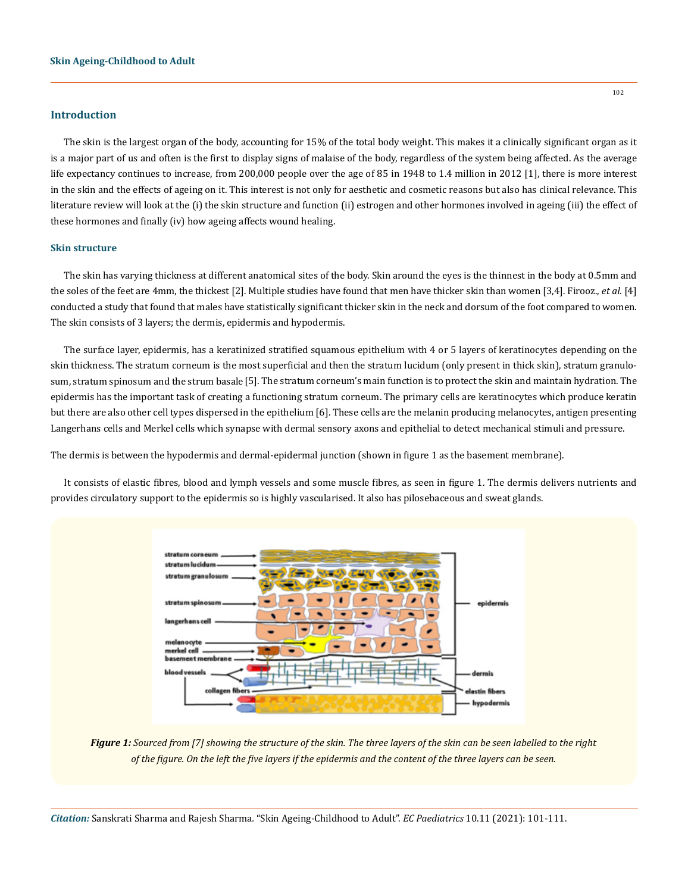## **Introduction**

The skin is the largest organ of the body, accounting for 15% of the total body weight. This makes it a clinically significant organ as it is a major part of us and often is the first to display signs of malaise of the body, regardless of the system being affected. As the average life expectancy continues to increase, from 200,000 people over the age of 85 in 1948 to 1.4 million in 2012 [1], there is more interest in the skin and the effects of ageing on it. This interest is not only for aesthetic and cosmetic reasons but also has clinical relevance. This literature review will look at the (i) the skin structure and function (ii) estrogen and other hormones involved in ageing (iii) the effect of these hormones and finally (iv) how ageing affects wound healing.

## **Skin structure**

The skin has varying thickness at different anatomical sites of the body. Skin around the eyes is the thinnest in the body at 0.5mm and the soles of the feet are 4mm, the thickest [2]. Multiple studies have found that men have thicker skin than women [3,4]. Firooz., *et al.* [4] conducted a study that found that males have statistically significant thicker skin in the neck and dorsum of the foot compared to women. The skin consists of 3 layers; the dermis, epidermis and hypodermis.

The surface layer, epidermis, has a keratinized stratified squamous epithelium with 4 or 5 layers of keratinocytes depending on the skin thickness. The stratum corneum is the most superficial and then the stratum lucidum (only present in thick skin), stratum granulosum, stratum spinosum and the strum basale[5]. The stratum corneum's main function is to protect the skin and maintain hydration. The epidermis has the important task of creating a functioning stratum corneum. The primary cells are keratinocytes which produce keratin but there are also other cell types dispersed in the epithelium [6]. These cells are the melanin producing melanocytes, antigen presenting Langerhans cells and Merkel cells which synapse with dermal sensory axons and epithelial to detect mechanical stimuli and pressure.

The dermis is between the hypodermis and dermal-epidermal junction (shown in figure 1 as the basement membrane).

It consists of elastic fibres, blood and lymph vessels and some muscle fibres, as seen in figure 1. The dermis delivers nutrients and provides circulatory support to the epidermis so is highly vascularised. It also has pilosebaceous and sweat glands.



*Figure 1: Sourced from [7] showing the structure of the skin. The three layers of the skin can be seen labelled to the right of the figure. On the left the five layers if the epidermis and the content of the three layers can be seen.*

*Citation:* Sanskrati Sharma and Rajesh Sharma*.* "Skin Ageing-Childhood to Adult". *EC Paediatrics* 10.11 (2021): 101-111.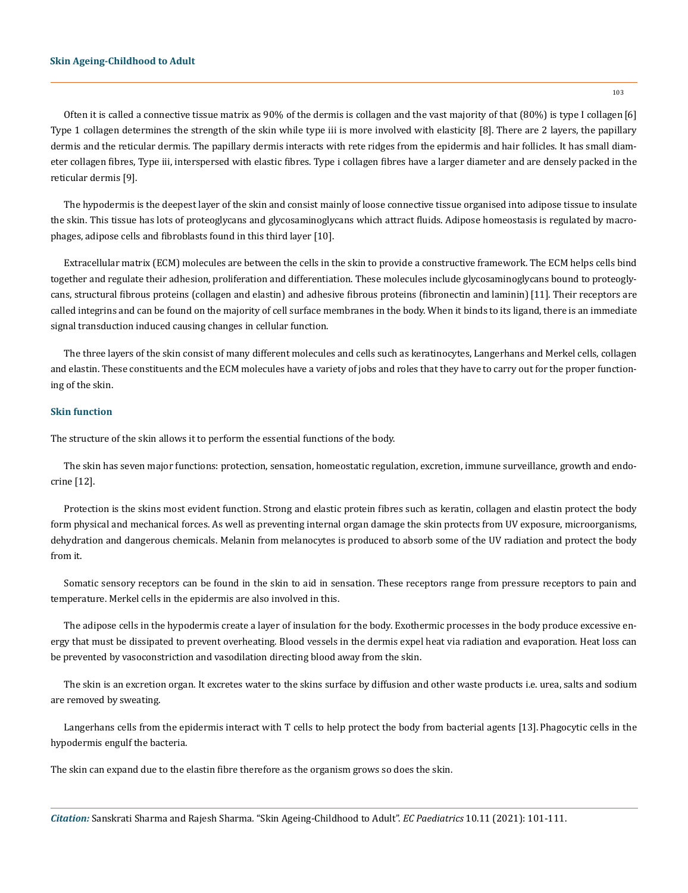#### **Skin Ageing-Childhood to Adult**

Often it is called a connective tissue matrix as 90% of the dermis is collagen and the vast majority of that (80%) is type I collagen [6] Type 1 collagen determines the strength of the skin while type iii is more involved with elasticity [8]. There are 2 layers, the papillary dermis and the reticular dermis. The papillary dermis interacts with rete ridges from the epidermis and hair follicles. It has small diameter collagen fibres, Type iii, interspersed with elastic fibres. Type i collagen fibres have a larger diameter and are densely packed in the reticular dermis [9].

The hypodermis is the deepest layer of the skin and consist mainly of loose connective tissue organised into adipose tissue to insulate the skin. This tissue has lots of proteoglycans and glycosaminoglycans which attract fluids. Adipose homeostasis is regulated by macrophages, adipose cells and fibroblasts found in this third layer [10].

Extracellular matrix (ECM) molecules are between the cells in the skin to provide a constructive framework. The ECM helps cells bind together and regulate their adhesion, proliferation and differentiation. These molecules include glycosaminoglycans bound to proteoglycans, structural fibrous proteins (collagen and elastin) and adhesive fibrous proteins (fibronectin and laminin)[11]. Their receptors are called integrins and can be found on the majority of cell surface membranes in the body. When it binds to its ligand, there is an immediate signal transduction induced causing changes in cellular function.

The three layers of the skin consist of many different molecules and cells such as keratinocytes, Langerhans and Merkel cells, collagen and elastin. These constituents and the ECM molecules have a variety of jobs and roles that they have to carry out for the proper functioning of the skin.

## **Skin function**

The structure of the skin allows it to perform the essential functions of the body.

The skin has seven major functions: protection, sensation, homeostatic regulation, excretion, immune surveillance, growth and endocrine [12].

Protection is the skins most evident function. Strong and elastic protein fibres such as keratin, collagen and elastin protect the body form physical and mechanical forces. As well as preventing internal organ damage the skin protects from UV exposure, microorganisms, dehydration and dangerous chemicals. Melanin from melanocytes is produced to absorb some of the UV radiation and protect the body from it.

Somatic sensory receptors can be found in the skin to aid in sensation. These receptors range from pressure receptors to pain and temperature. Merkel cells in the epidermis are also involved in this.

The adipose cells in the hypodermis create a layer of insulation for the body. Exothermic processes in the body produce excessive energy that must be dissipated to prevent overheating. Blood vessels in the dermis expel heat via radiation and evaporation. Heat loss can be prevented by vasoconstriction and vasodilation directing blood away from the skin.

The skin is an excretion organ. It excretes water to the skins surface by diffusion and other waste products i.e. urea, salts and sodium are removed by sweating.

Langerhans cells from the epidermis interact with T cells to help protect the body from bacterial agents [13]. Phagocytic cells in the hypodermis engulf the bacteria.

The skin can expand due to the elastin fibre therefore as the organism grows so does the skin.

*Citation:* Sanskrati Sharma and Rajesh Sharma*.* "Skin Ageing-Childhood to Adult". *EC Paediatrics* 10.11 (2021): 101-111.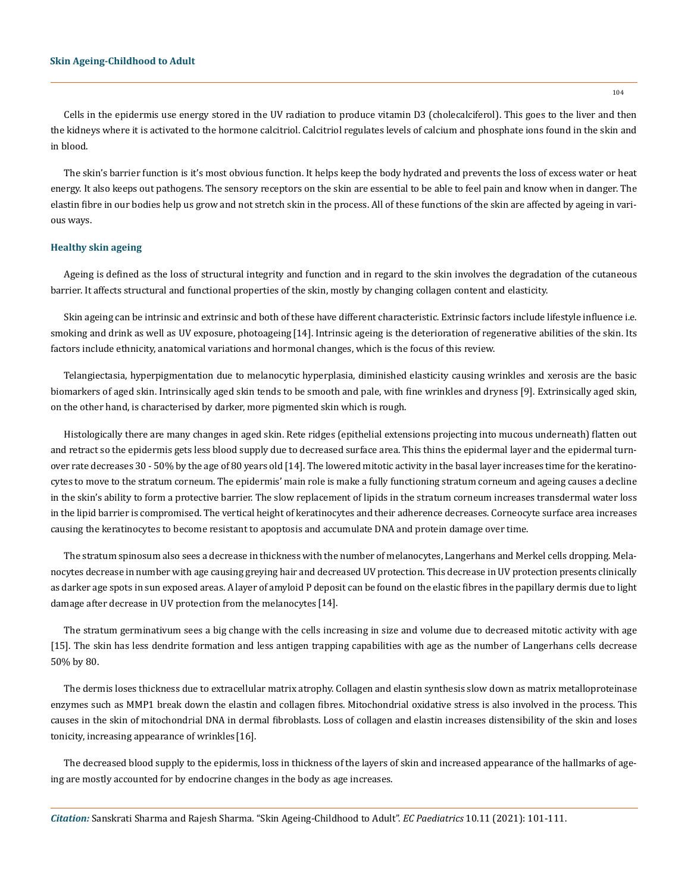Cells in the epidermis use energy stored in the UV radiation to produce vitamin D3 (cholecalciferol). This goes to the liver and then the kidneys where it is activated to the hormone calcitriol. Calcitriol regulates levels of calcium and phosphate ions found in the skin and in blood.

The skin's barrier function is it's most obvious function. It helps keep the body hydrated and prevents the loss of excess water or heat energy. It also keeps out pathogens. The sensory receptors on the skin are essential to be able to feel pain and know when in danger. The elastin fibre in our bodies help us grow and not stretch skin in the process. All of these functions of the skin are affected by ageing in various ways.

### **Healthy skin ageing**

Ageing is defined as the loss of structural integrity and function and in regard to the skin involves the degradation of the cutaneous barrier. It affects structural and functional properties of the skin, mostly by changing collagen content and elasticity.

Skin ageing can be intrinsic and extrinsic and both of these have different characteristic. Extrinsic factors include lifestyle influence i.e. smoking and drink as well as UV exposure, photoageing [14]. Intrinsic ageing is the deterioration of regenerative abilities of the skin. Its factors include ethnicity, anatomical variations and hormonal changes, which is the focus of this review.

Telangiectasia, hyperpigmentation due to melanocytic hyperplasia, diminished elasticity causing wrinkles and xerosis are the basic biomarkers of aged skin. Intrinsically aged skin tends to be smooth and pale, with fine wrinkles and dryness [9]. Extrinsically aged skin, on the other hand, is characterised by darker, more pigmented skin which is rough.

Histologically there are many changes in aged skin. Rete ridges (epithelial extensions projecting into mucous underneath) flatten out and retract so the epidermis gets less blood supply due to decreased surface area. This thins the epidermal layer and the epidermal turnover rate decreases 30 - 50% by the age of 80 years old [14]. The lowered mitotic activity in the basal layer increases time for the keratinocytes to move to the stratum corneum. The epidermis' main role is make a fully functioning stratum corneum and ageing causes a decline in the skin's ability to form a protective barrier. The slow replacement of lipids in the stratum corneum increases transdermal water loss in the lipid barrier is compromised. The vertical height of keratinocytes and their adherence decreases. Corneocyte surface area increases causing the keratinocytes to become resistant to apoptosis and accumulate DNA and protein damage over time.

The stratum spinosum also sees a decrease in thickness with the number of melanocytes, Langerhans and Merkel cells dropping. Melanocytes decrease in number with age causing greying hair and decreased UV protection. This decrease in UV protection presents clinically as darker age spots in sun exposed areas. A layer of amyloid P deposit can be found on the elastic fibres in the papillary dermis due to light damage after decrease in UV protection from the melanocytes [14].

The stratum germinativum sees a big change with the cells increasing in size and volume due to decreased mitotic activity with age [15]. The skin has less dendrite formation and less antigen trapping capabilities with age as the number of Langerhans cells decrease 50% by 80.

The dermis loses thickness due to extracellular matrix atrophy. Collagen and elastin synthesis slow down as matrix metalloproteinase enzymes such as MMP1 break down the elastin and collagen fibres. Mitochondrial oxidative stress is also involved in the process. This causes in the skin of mitochondrial DNA in dermal fibroblasts. Loss of collagen and elastin increases distensibility of the skin and loses tonicity, increasing appearance of wrinkles [16].

The decreased blood supply to the epidermis, loss in thickness of the layers of skin and increased appearance of the hallmarks of ageing are mostly accounted for by endocrine changes in the body as age increases.

*Citation:* Sanskrati Sharma and Rajesh Sharma*.* "Skin Ageing-Childhood to Adult". *EC Paediatrics* 10.11 (2021): 101-111.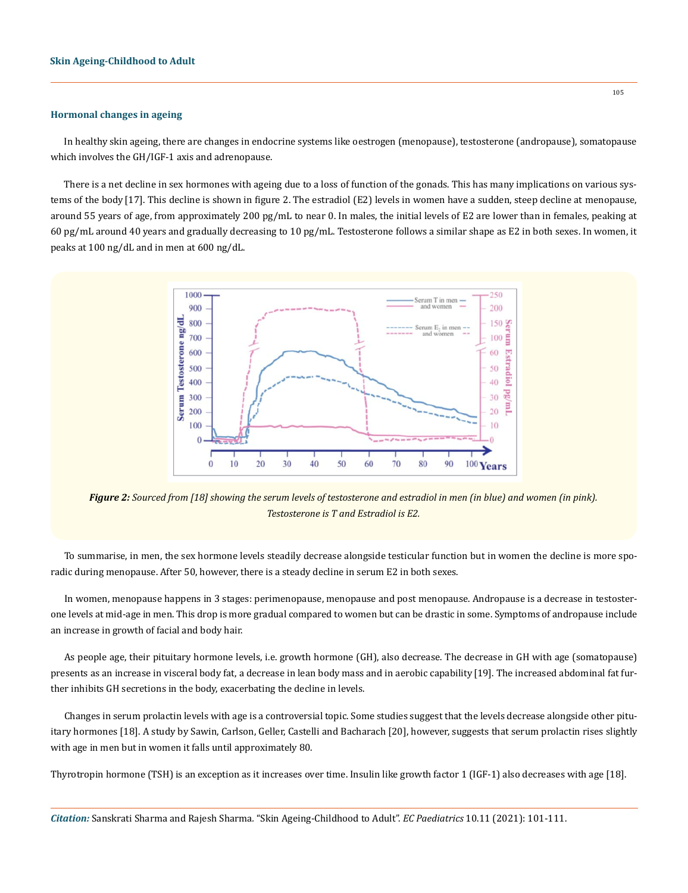## **Hormonal changes in ageing**

In healthy skin ageing, there are changes in endocrine systems like oestrogen (menopause), testosterone (andropause), somatopause which involves the GH/IGF-1 axis and adrenopause.

There is a net decline in sex hormones with ageing due to a loss of function of the gonads. This has many implications on various systems of the body [17]. This decline is shown in figure 2. The estradiol (E2) levels in women have a sudden, steep decline at menopause, around 55 years of age, from approximately 200 pg/mL to near 0. In males, the initial levels of E2 are lower than in females, peaking at 60 pg/mL around 40 years and gradually decreasing to 10 pg/mL. Testosterone follows a similar shape as E2 in both sexes. In women, it peaks at 100 ng/dL and in men at 600 ng/dL.



*Figure 2: Sourced from [18] showing the serum levels of testosterone and estradiol in men (in blue) and women (in pink). Testosterone is T and Estradiol is E2.* 

To summarise, in men, the sex hormone levels steadily decrease alongside testicular function but in women the decline is more sporadic during menopause. After 50, however, there is a steady decline in serum E2 in both sexes.

In women, menopause happens in 3 stages: perimenopause, menopause and post menopause. Andropause is a decrease in testosterone levels at mid-age in men. This drop is more gradual compared to women but can be drastic in some. Symptoms of andropause include an increase in growth of facial and body hair.

As people age, their pituitary hormone levels, i.e. growth hormone (GH), also decrease. The decrease in GH with age (somatopause) presents as an increase in visceral body fat, a decrease in lean body mass and in aerobic capability [19]. The increased abdominal fat further inhibits GH secretions in the body, exacerbating the decline in levels.

Changes in serum prolactin levels with age is a controversial topic. Some studies suggest that the levels decrease alongside other pituitary hormones [18]. A study by Sawin, Carlson, Geller, Castelli and Bacharach [20], however, suggests that serum prolactin rises slightly with age in men but in women it falls until approximately 80.

Thyrotropin hormone (TSH) is an exception as it increases over time. Insulin like growth factor 1 (IGF-1) also decreases with age [18].

*Citation:* Sanskrati Sharma and Rajesh Sharma*.* "Skin Ageing-Childhood to Adult". *EC Paediatrics* 10.11 (2021): 101-111.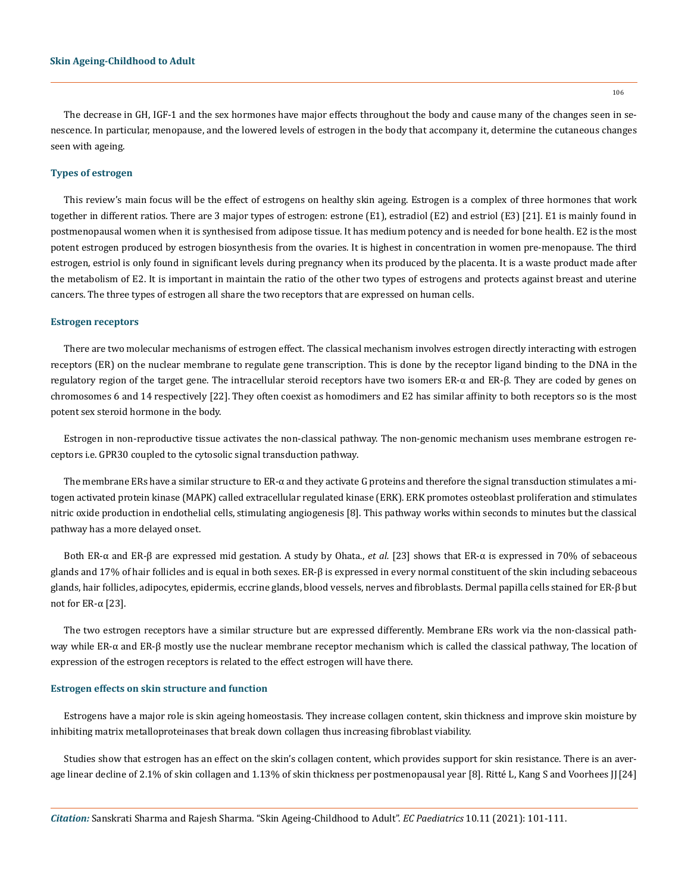The decrease in GH, IGF-1 and the sex hormones have major effects throughout the body and cause many of the changes seen in senescence. In particular, menopause, and the lowered levels of estrogen in the body that accompany it, determine the cutaneous changes seen with ageing.

## **Types of estrogen**

This review's main focus will be the effect of estrogens on healthy skin ageing. Estrogen is a complex of three hormones that work together in different ratios. There are 3 major types of estrogen: estrone (E1), estradiol (E2) and estriol (E3) [21]. E1 is mainly found in postmenopausal women when it is synthesised from adipose tissue. It has medium potency and is needed for bone health. E2 is the most potent estrogen produced by estrogen biosynthesis from the ovaries. It is highest in concentration in women pre-menopause. The third estrogen, estriol is only found in significant levels during pregnancy when its produced by the placenta. It is a waste product made after the metabolism of E2. It is important in maintain the ratio of the other two types of estrogens and protects against breast and uterine cancers. The three types of estrogen all share the two receptors that are expressed on human cells.

#### **Estrogen receptors**

There are two molecular mechanisms of estrogen effect. The classical mechanism involves estrogen directly interacting with estrogen receptors (ER) on the nuclear membrane to regulate gene transcription. This is done by the receptor ligand binding to the DNA in the regulatory region of the target gene. The intracellular steroid receptors have two isomers ER-α and ER-β. They are coded by genes on chromosomes 6 and 14 respectively [22]. They often coexist as homodimers and E2 has similar affinity to both receptors so is the most potent sex steroid hormone in the body.

Estrogen in non-reproductive tissue activates the non-classical pathway. The non-genomic mechanism uses membrane estrogen receptors i.e. GPR30 coupled to the cytosolic signal transduction pathway.

The membrane ERs have a similar structure to ER‐α and they activate G proteins and therefore the signal transduction stimulates a mitogen activated protein kinase (MAPK) called extracellular regulated kinase (ERK). ERK promotes osteoblast proliferation and stimulates nitric oxide production in endothelial cells, stimulating angiogenesis [8]. This pathway works within seconds to minutes but the classical pathway has a more delayed onset.

Both ER‐α and ER‐β are expressed mid gestation. A study by Ohata., *et al.* [23] shows that ER‐α is expressed in 70% of sebaceous glands and 17% of hair follicles and is equal in both sexes. ER‐β is expressed in every normal constituent of the skin including sebaceous glands, hair follicles, adipocytes, epidermis, eccrine glands, blood vessels, nerves and fibroblasts. Dermal papilla cells stained for ER‐β but not for ER‐α [23].

The two estrogen receptors have a similar structure but are expressed differently. Membrane ERs work via the non-classical pathway while ER-α and ER-β mostly use the nuclear membrane receptor mechanism which is called the classical pathway, The location of expression of the estrogen receptors is related to the effect estrogen will have there.

#### **Estrogen effects on skin structure and function**

Estrogens have a major role is skin ageing homeostasis. They increase collagen content, skin thickness and improve skin moisture by inhibiting matrix metalloproteinases that break down collagen thus increasing fibroblast viability.

Studies show that estrogen has an effect on the skin's collagen content, which provides support for skin resistance. There is an average linear decline of 2.1% of skin collagen and 1.13% of skin thickness per postmenopausal year [8]. Ritté L, Kang S and Voorhees JJ[24]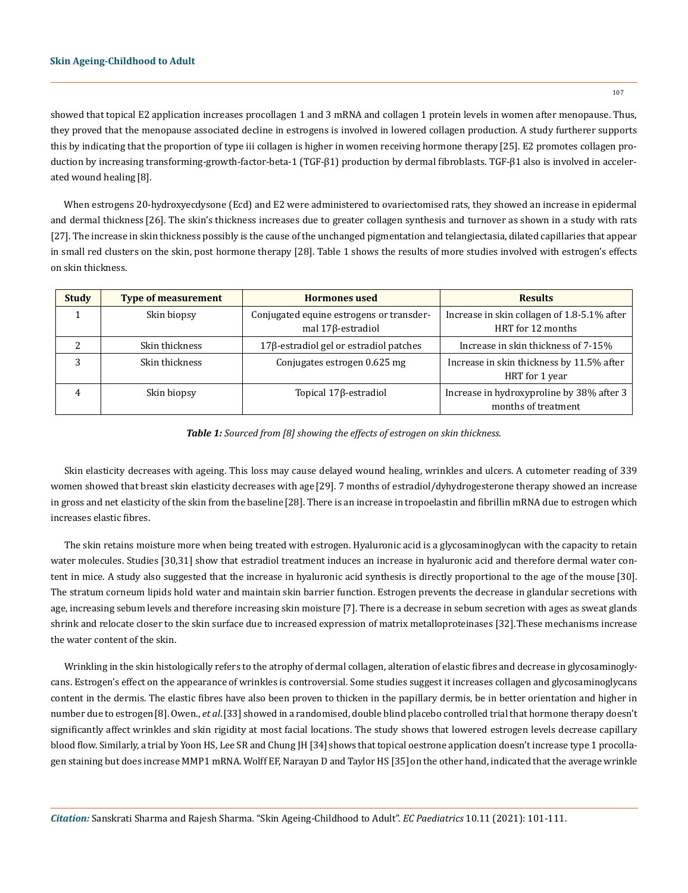#### **Skin Ageing-Childhood to Adult**

showed that topical E2 application increases procollagen 1 and 3 mRNA and collagen 1 protein levels in women after menopause. Thus, they proved that the menopause associated decline in estrogens is involved in lowered collagen production. A study furtherer supports this by indicating that the proportion of type iii collagen is higher in women receiving hormone therapy [25]. E2 promotes collagen production by increasing transforming-growth-factor-beta-1 (TGF-β1) production by dermal fibroblasts. TGF-β1 also is involved in accelerated wound healing [8].

When estrogens 20-hydroxyecdysone (Ecd) and E2 were administered to ovariectomised rats, they showed an increase in epidermal and dermal thickness [26]. The skin's thickness increases due to greater collagen synthesis and turnover as shown in a study with rats [27]. The increase in skin thickness possibly is the cause of the unchanged pigmentation and telangiectasia, dilated capillaries that appear in small red clusters on the skin, post hormone therapy [28]. Table 1 shows the results of more studies involved with estrogen's effects on skin thickness.

| <b>Study</b> | <b>Type of measurement</b> | <b>Hormones</b> used                                                       | <b>Results</b>                                                   |
|--------------|----------------------------|----------------------------------------------------------------------------|------------------------------------------------------------------|
|              | Skin biopsy                | Conjugated equine estrogens or transder-<br>mal 17 <sub>8</sub> -estradiol | Increase in skin collagen of 1.8-5.1% after<br>HRT for 12 months |
|              | Skin thickness             | $17\beta$ -estradiol gel or estradiol patches                              | Increase in skin thickness of 7-15%                              |
|              | Skin thickness             | Conjugates estrogen 0.625 mg                                               | Increase in skin thickness by 11.5% after<br>HRT for 1 year      |
|              | Skin biopsy                | Topical $17\beta$ -estradiol                                               | Increase in hydroxyproline by 38% after 3<br>months of treatment |

*Table 1: Sourced from [8] showing the effects of estrogen on skin thickness.*

Skin elasticity decreases with ageing. This loss may cause delayed wound healing, wrinkles and ulcers. A cutometer reading of 339 women showed that breast skin elasticity decreases with age [29]. 7 months of estradiol/dyhydrogesterone therapy showed an increase in gross and net elasticity of the skin from the baseline [28]. There is an increase in tropoelastin and fibrillin mRNA due to estrogen which increases elastic fibres.

The skin retains moisture more when being treated with estrogen. Hyaluronic acid is a glycosaminoglycan with the capacity to retain water molecules. Studies [30,31] show that estradiol treatment induces an increase in hyaluronic acid and therefore dermal water content in mice. A study also suggested that the increase in hyaluronic acid synthesis is directly proportional to the age of the mouse [30]. The stratum corneum lipids hold water and maintain skin barrier function. Estrogen prevents the decrease in glandular secretions with age, increasing sebum levels and therefore increasing skin moisture [7]. There is a decrease in sebum secretion with ages as sweat glands shrink and relocate closer to the skin surface due to increased expression of matrix metalloproteinases [32].These mechanisms increase the water content of the skin.

Wrinkling in the skin histologically refers to the atrophy of dermal collagen, alteration of elastic fibres and decrease in glycosaminoglycans. Estrogen's effect on the appearance of wrinkles is controversial. Some studies suggest it increases collagen and glycosaminoglycans content in the dermis. The elastic fibres have also been proven to thicken in the papillary dermis, be in better orientation and higher in number due to estrogen[8]. Owen., *et al*.[33] showed in a randomised, double blind placebo controlled trial that hormone therapy doesn't significantly affect wrinkles and skin rigidity at most facial locations. The study shows that lowered estrogen levels decrease capillary blood flow. Similarly, a trial by Yoon HS, Lee SR and Chung JH [34] shows that topical oestrone application doesn't increase type 1 procollagen staining but does increase MMP1 mRNA. Wolff EF, Narayan D and Taylor HS [35]on the other hand, indicated that the average wrinkle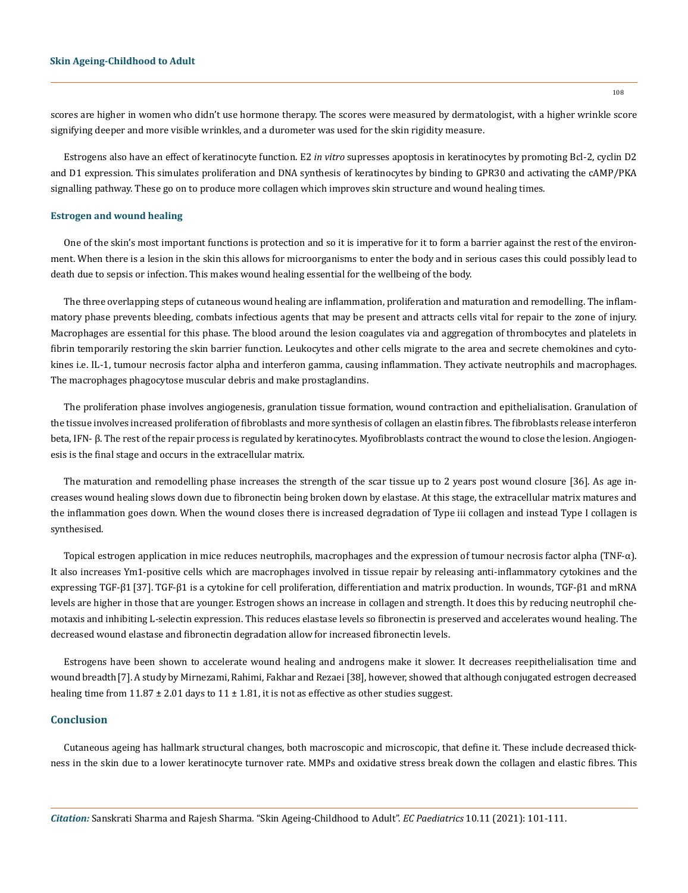scores are higher in women who didn't use hormone therapy. The scores were measured by dermatologist, with a higher wrinkle score signifying deeper and more visible wrinkles, and a durometer was used for the skin rigidity measure.

Estrogens also have an effect of keratinocyte function. E2 *in vitro* supresses apoptosis in keratinocytes by promoting Bcl-2, cyclin D2 and D1 expression. This simulates proliferation and DNA synthesis of keratinocytes by binding to GPR30 and activating the cAMP/PKA signalling pathway. These go on to produce more collagen which improves skin structure and wound healing times.

## **Estrogen and wound healing**

One of the skin's most important functions is protection and so it is imperative for it to form a barrier against the rest of the environment. When there is a lesion in the skin this allows for microorganisms to enter the body and in serious cases this could possibly lead to death due to sepsis or infection. This makes wound healing essential for the wellbeing of the body.

The three overlapping steps of cutaneous wound healing are inflammation, proliferation and maturation and remodelling. The inflammatory phase prevents bleeding, combats infectious agents that may be present and attracts cells vital for repair to the zone of injury. Macrophages are essential for this phase. The blood around the lesion coagulates via and aggregation of thrombocytes and platelets in fibrin temporarily restoring the skin barrier function. Leukocytes and other cells migrate to the area and secrete chemokines and cytokines i.e. IL-1, tumour necrosis factor alpha and interferon gamma, causing inflammation. They activate neutrophils and macrophages. The macrophages phagocytose muscular debris and make prostaglandins.

The proliferation phase involves angiogenesis, granulation tissue formation, wound contraction and epithelialisation. Granulation of the tissue involves increased proliferation of fibroblasts and more synthesis of collagen an elastin fibres. The fibroblasts release interferon beta, IFN-β. The rest of the repair process is regulated by keratinocytes. Myofibroblasts contract the wound to close the lesion. Angiogenesis is the final stage and occurs in the extracellular matrix.

The maturation and remodelling phase increases the strength of the scar tissue up to 2 years post wound closure [36]. As age increases wound healing slows down due to fibronectin being broken down by elastase. At this stage, the extracellular matrix matures and the inflammation goes down. When the wound closes there is increased degradation of Type iii collagen and instead Type I collagen is synthesised.

Topical estrogen application in mice reduces neutrophils, macrophages and the expression of tumour necrosis factor alpha (TNF-α). It also increases Ym1-positive cells which are macrophages involved in tissue repair by releasing anti-inflammatory cytokines and the expressing TGF-β1 [37]. TGF-β1 is a cytokine for cell proliferation, differentiation and matrix production. In wounds, TGF-β1 and mRNA levels are higher in those that are younger. Estrogen shows an increase in collagen and strength. It does this by reducing neutrophil chemotaxis and inhibiting L-selectin expression. This reduces elastase levels so fibronectin is preserved and accelerates wound healing. The decreased wound elastase and fibronectin degradation allow for increased fibronectin levels.

Estrogens have been shown to accelerate wound healing and androgens make it slower. It decreases reepithelialisation time and wound breadth[7]. A study by Mirnezami, Rahimi, Fakhar and Rezaei [38], however, showed that although conjugated estrogen decreased healing time from  $11.87 \pm 2.01$  days to  $11 \pm 1.81$ , it is not as effective as other studies suggest.

## **Conclusion**

Cutaneous ageing has hallmark structural changes, both macroscopic and microscopic, that define it. These include decreased thickness in the skin due to a lower keratinocyte turnover rate. MMPs and oxidative stress break down the collagen and elastic fibres. This

*Citation:* Sanskrati Sharma and Rajesh Sharma*.* "Skin Ageing-Childhood to Adult". *EC Paediatrics* 10.11 (2021): 101-111.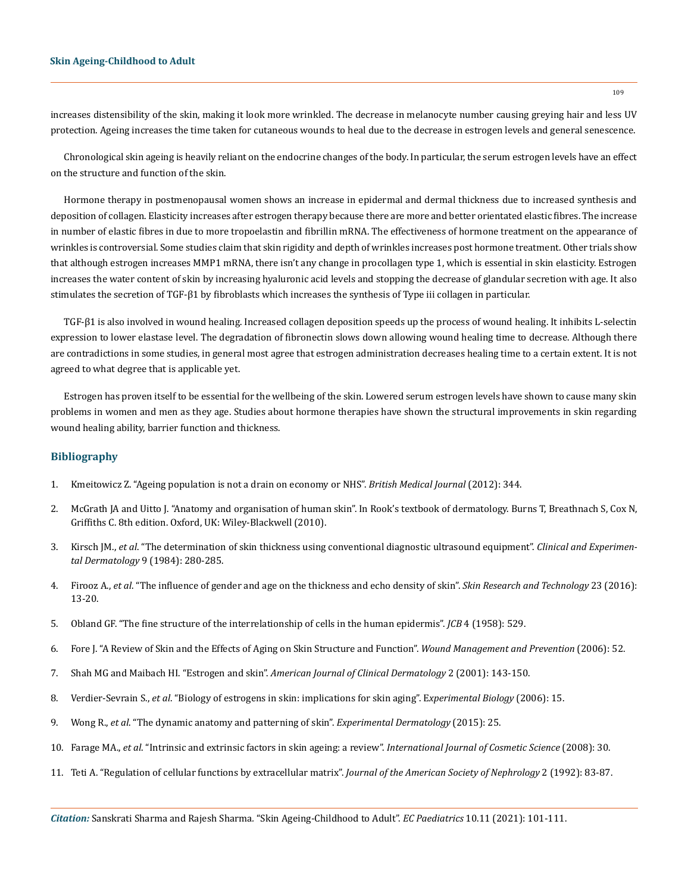increases distensibility of the skin, making it look more wrinkled. The decrease in melanocyte number causing greying hair and less UV protection. Ageing increases the time taken for cutaneous wounds to heal due to the decrease in estrogen levels and general senescence.

Chronological skin ageing is heavily reliant on the endocrine changes of the body. In particular, the serum estrogen levels have an effect on the structure and function of the skin.

Hormone therapy in postmenopausal women shows an increase in epidermal and dermal thickness due to increased synthesis and deposition of collagen. Elasticity increases after estrogen therapy because there are more and better orientated elastic fibres. The increase in number of elastic fibres in due to more tropoelastin and fibrillin mRNA. The effectiveness of hormone treatment on the appearance of wrinkles is controversial. Some studies claim that skin rigidity and depth of wrinkles increases post hormone treatment. Other trials show that although estrogen increases MMP1 mRNA, there isn't any change in procollagen type 1, which is essential in skin elasticity. Estrogen increases the water content of skin by increasing hyaluronic acid levels and stopping the decrease of glandular secretion with age. It also stimulates the secretion of TGF-β1 by fibroblasts which increases the synthesis of Type iii collagen in particular.

TGF-β1 is also involved in wound healing. Increased collagen deposition speeds up the process of wound healing. It inhibits L-selectin expression to lower elastase level. The degradation of fibronectin slows down allowing wound healing time to decrease. Although there are contradictions in some studies, in general most agree that estrogen administration decreases healing time to a certain extent. It is not agreed to what degree that is applicable yet.

Estrogen has proven itself to be essential for the wellbeing of the skin. Lowered serum estrogen levels have shown to cause many skin problems in women and men as they age. Studies about hormone therapies have shown the structural improvements in skin regarding wound healing ability, barrier function and thickness.

## **Bibliography**

- 1. [Kmeitowicz Z. "Ageing population is not a drain on economy or NHS".](https://pubmed.ncbi.nlm.nih.gov/22532063/) *British Medical Journal* (2012): 344.
- 2. [McGrath JA and Uitto J. "Anatomy and organisation of human skin". In Rook's textbook of dermatology. Burns T, Breathnach S, Cox N,](https://onlinelibrary.wiley.com/doi/10.1002/9781444317633.ch3) [Griffiths C. 8th edition. Oxford, UK: Wiley-Blackwell \(2010\).](https://onlinelibrary.wiley.com/doi/10.1002/9781444317633.ch3)
- 3. Kirsch JM., *et al*[. "The determination of skin thickness using conventional diagnostic ultrasound equipment".](https://pubmed.ncbi.nlm.nih.gov/6733959/) *Clinical and Experimental Dermatology* [9 \(1984\): 280-285.](https://pubmed.ncbi.nlm.nih.gov/6733959/)
- 4. Firooz A., *et al*[. "The influence of gender and age on the thickness and echo density of skin".](https://www.researchgate.net/publication/303873440_The_influence_of_gender_and_age_on_the_thickness_and_echo-density_of_skin) *Skin Research and Technology* 23 (2016): [13-20.](https://www.researchgate.net/publication/303873440_The_influence_of_gender_and_age_on_the_thickness_and_echo-density_of_skin)
- 5. [Obland GF. "The fine structure of the interrelationship of cells in the human epidermis".](https://www.ncbi.nlm.nih.gov/pmc/articles/PMC2224536/) *JCB* 4 (1958): 529.
- 6. [Fore J. "A Review of Skin and the Effects of Aging on Skin Structure and Function".](https://pubmed.ncbi.nlm.nih.gov/16980727/) *Wound Management and Prevention* (2006): 52.
- 7. [Shah MG and Maibach HI. "Estrogen and skin".](https://pubmed.ncbi.nlm.nih.gov/11705091/) *American Journal of Clinical Dermatology* 2 (2001): 143-150.
- 8. Verdier-Sevrain S., *et al*[. "Biology of estrogens in skin: implications for skin aging". E](https://pubmed.ncbi.nlm.nih.gov/16433679/)*xperimental Biology* (2006): 15.
- 9. Wong R., *et al*[. "The dynamic anatomy and patterning of skin".](https://pubmed.ncbi.nlm.nih.gov/26284579/) *Experimental Dermatology* (2015): 25.
- 10. Farage MA., *et al*[. "Intrinsic and extrinsic factors in skin ageing: a review".](https://pubmed.ncbi.nlm.nih.gov/18377617/) *International Journal of Cosmetic Science* (2008): 30.
- 11. [Teti A. "Regulation of cellular functions by extracellular matrix".](https://pubmed.ncbi.nlm.nih.gov/8439492/) *Journal of the American Society of Nephrology* 2 (1992): 83-87.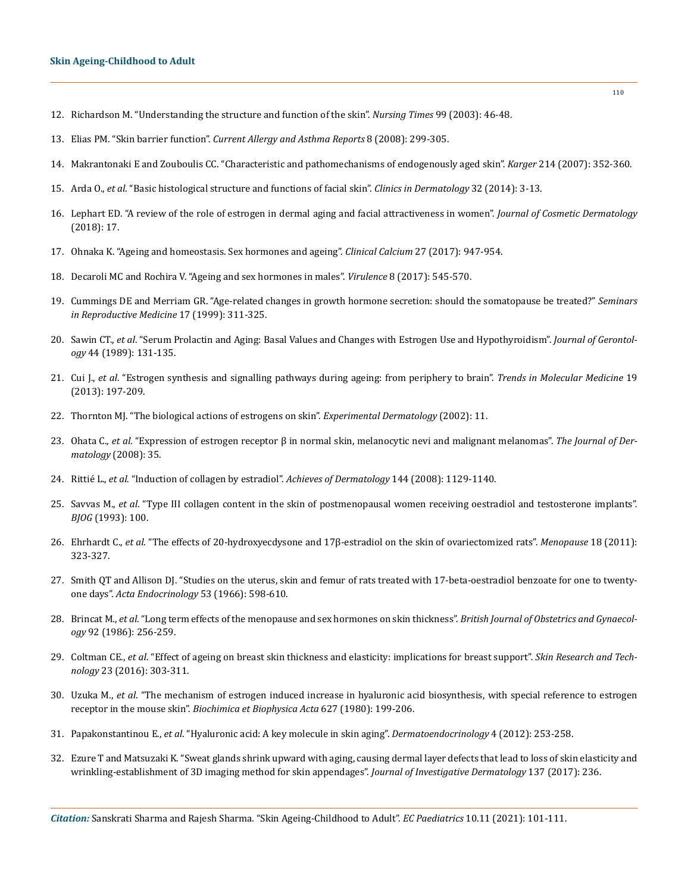- 12. [Richardson M. "Understanding the structure and function of the skin".](https://www.nursingtimes.net/clinical-archive/dermatology/understanding-the-structure-and-function-of-the-skin-05-08-2003/) *Nursing Times* 99 (2003): 46-48.
- 13. Elias PM. "Skin barrier function". *[Current Allergy and Asthma Reports](https://www.ncbi.nlm.nih.gov/pmc/articles/PMC2843412/)* 8 (2008): 299-305.
- 14. [Makrantonaki E and Zouboulis CC. "Characteristic and pathomechanisms of endogenously aged skin".](https://www.karger.com/Article/Pdf/100890) *Karger* 214 (2007): 352-360.
- 15. Arda O., *et al*[. "Basic histological structure and functions of facial skin".](https://pubmed.ncbi.nlm.nih.gov/24314373/) *Clinics in Dermatology* 32 (2014): 3-13.
- 16. [Lephart ED. "A review of the role of estrogen in dermal aging and facial attractiveness in women".](https://pubmed.ncbi.nlm.nih.gov/29436770/) *Journal of Cosmetic Dermatology* [\(2018\): 17.](https://pubmed.ncbi.nlm.nih.gov/29436770/)
- 17. [Ohnaka K. "Ageing and homeostasis. Sex hormones and ageing".](https://pubmed.ncbi.nlm.nih.gov/28649100/) *Clinical Calcium* 27 (2017): 947-954.
- 18. [Decaroli MC and Rochira V. "Ageing and sex hormones in males".](https://www.ncbi.nlm.nih.gov/pmc/articles/PMC5538340/) *Virulence* 8 (2017): 545-570.
- 19. [Cummings DE and Merriam GR. "Age-related changes in growth hormone secretion: should the somatopause be treated?"](https://pubmed.ncbi.nlm.nih.gov/10851571/) *Seminars [in Reproductive Medicine](https://pubmed.ncbi.nlm.nih.gov/10851571/)* 17 (1999): 311-325.
- 20. Sawin CT., *et al*[. "Serum Prolactin and Aging: Basal Values and Changes with Estrogen Use and Hypothyroidism".](https://academic.oup.com/geronj/article-abstract/44/5/M131/696746) *Journal of Gerontology* [44 \(1989\): 131-135.](https://academic.oup.com/geronj/article-abstract/44/5/M131/696746)
- 21. Cui J., *et al*[. "Estrogen synthesis and signalling pathways during ageing: from periphery to brain".](https://pubmed.ncbi.nlm.nih.gov/23348042/) *Trends in Molecular Medicine* 19 [\(2013\): 197-209.](https://pubmed.ncbi.nlm.nih.gov/23348042/)
- 22. [Thornton MJ. "The biological actions of estrogens on skin".](https://pubmed.ncbi.nlm.nih.gov/12473056/) *Experimental Dermatology* (2002): 11.
- 23. Ohata C., *et al*[. "Expression of estrogen receptor β in normal skin, melanocytic nevi and malignant melanomas".](https://pubmed.ncbi.nlm.nih.gov/18419678/) *The Journal of Dermatology* [\(2008\): 35.](https://pubmed.ncbi.nlm.nih.gov/18419678/)
- 24. Rittié L., *et al*[. "Induction of collagen by estradiol".](https://pubmed.ncbi.nlm.nih.gov/18794456/) *Achieves of Dermatology* 144 (2008): 1129-1140.
- 25. Savvas M., *et al*[. "Type III collagen content in the skin of postmenopausal women receiving oestradiol and testosterone implants".](https://www.wikidata.org/wiki/Q70667915) *BJOG* [\(1993\): 100.](https://www.wikidata.org/wiki/Q70667915)
- 26. Ehrhardt C., *et al*[. "The effects of 20-hydroxyecdysone and 17β-estradiol on the skin of ovariectomized rats".](https://pubmed.ncbi.nlm.nih.gov/21030883/) *Menopause* 18 (2011): [323-327.](https://pubmed.ncbi.nlm.nih.gov/21030883/)
- 27. [Smith QT and Allison DJ. "Studies on the uterus, skin and femur of rats treated with 17-beta-oestradiol benzoate for one to twenty](https://pubmed.ncbi.nlm.nih.gov/6012539/)one days". *[Acta Endocrinology](https://pubmed.ncbi.nlm.nih.gov/6012539/)* 53 (1966): 598-610.
- 28. Brincat M., *et al*[. "Long term effects of the menopause and sex hormones on skin thickness".](https://obgyn.onlinelibrary.wiley.com/doi/abs/10.1111/j.1471-0528.1985.tb01091.x) *British Journal of Obstetrics and Gynaecology* [92 \(1986\): 256-259.](https://obgyn.onlinelibrary.wiley.com/doi/abs/10.1111/j.1471-0528.1985.tb01091.x)
- 29. Coltman CE., *et al*[. "Effect of ageing on breast skin thickness and elasticity: implications for breast support".](https://onlinelibrary.wiley.com/doi/10.1111/srt.12335) *Skin Research and Technology* [23 \(2016\): 303-311.](https://onlinelibrary.wiley.com/doi/10.1111/srt.12335)
- 30. Uzuka M., *et al*[. "The mechanism of estrogen induced increase in hyaluronic acid biosynthesis, with special reference to estrogen](https://pubmed.ncbi.nlm.nih.gov/7350923/) receptor in the mouse skin". *[Biochimica et Biophysica Acta](https://pubmed.ncbi.nlm.nih.gov/7350923/)* 627 (1980): 199-206.
- 31. Papakonstantinou E., *et al*[. "Hyaluronic acid: A key molecule in skin aging".](https://www.ncbi.nlm.nih.gov/pmc/articles/PMC3583886/) *Dermatoendocrinology* 4 (2012): 253-258.
- 32. [Ezure T and Matsuzaki K. "Sweat glands shrink upward with aging, causing dermal layer defects that lead to loss of skin elasticity and](https://www.researchgate.net/scientific-contributions/Kyoichi-Matsuzaki-2031616512) [wrinkling-establishment of 3D imaging method for skin appendages".](https://www.researchgate.net/scientific-contributions/Kyoichi-Matsuzaki-2031616512) *Journal of Investigative Dermatology* 137 (2017): 236.

*Citation:* Sanskrati Sharma and Rajesh Sharma*.* "Skin Ageing-Childhood to Adult". *EC Paediatrics* 10.11 (2021): 101-111.